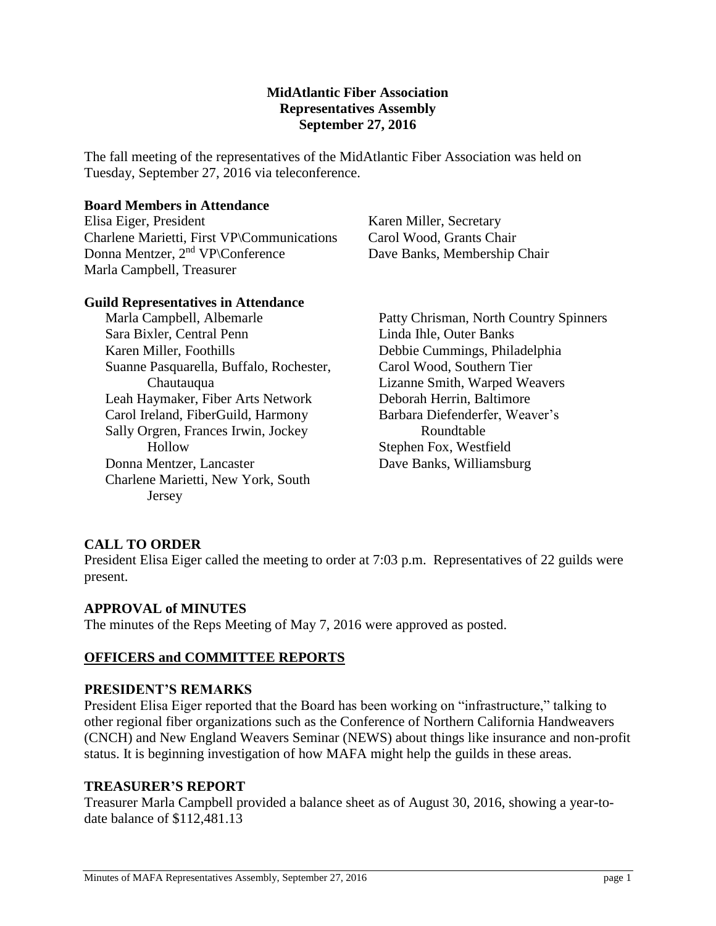## **MidAtlantic Fiber Association Representatives Assembly September 27, 2016**

The fall meeting of the representatives of the MidAtlantic Fiber Association was held on Tuesday, September 27, 2016 via teleconference.

### **Board Members in Attendance**

Elisa Eiger, President Charlene Marietti, First VP\Communications Donna Mentzer, 2nd VP\Conference Marla Campbell, Treasurer

Karen Miller, Secretary Carol Wood, Grants Chair Dave Banks, Membership Chair

## **Guild Representatives in Attendance**

Marla Campbell, Albemarle Sara Bixler, Central Penn Karen Miller, Foothills Suanne Pasquarella, Buffalo, Rochester, Chautauqua Leah Haymaker, Fiber Arts Network Carol Ireland, FiberGuild, Harmony Sally Orgren, Frances Irwin, Jockey Hollow Donna Mentzer, Lancaster Charlene Marietti, New York, South Jersey

Patty Chrisman, North Country Spinners Linda Ihle, Outer Banks Debbie Cummings, Philadelphia Carol Wood, Southern Tier Lizanne Smith, Warped Weavers Deborah Herrin, Baltimore Barbara Diefenderfer, Weaver's Roundtable Stephen Fox, Westfield Dave Banks, Williamsburg

# **CALL TO ORDER**

President Elisa Eiger called the meeting to order at 7:03 p.m. Representatives of 22 guilds were present.

### **APPROVAL of MINUTES**

The minutes of the Reps Meeting of May 7, 2016 were approved as posted.

### **OFFICERS and COMMITTEE REPORTS**

### **PRESIDENT'S REMARKS**

President Elisa Eiger reported that the Board has been working on "infrastructure," talking to other regional fiber organizations such as the Conference of Northern California Handweavers (CNCH) and New England Weavers Seminar (NEWS) about things like insurance and non-profit status. It is beginning investigation of how MAFA might help the guilds in these areas.

### **TREASURER'S REPORT**

Treasurer Marla Campbell provided a balance sheet as of August 30, 2016, showing a year-todate balance of \$112,481.13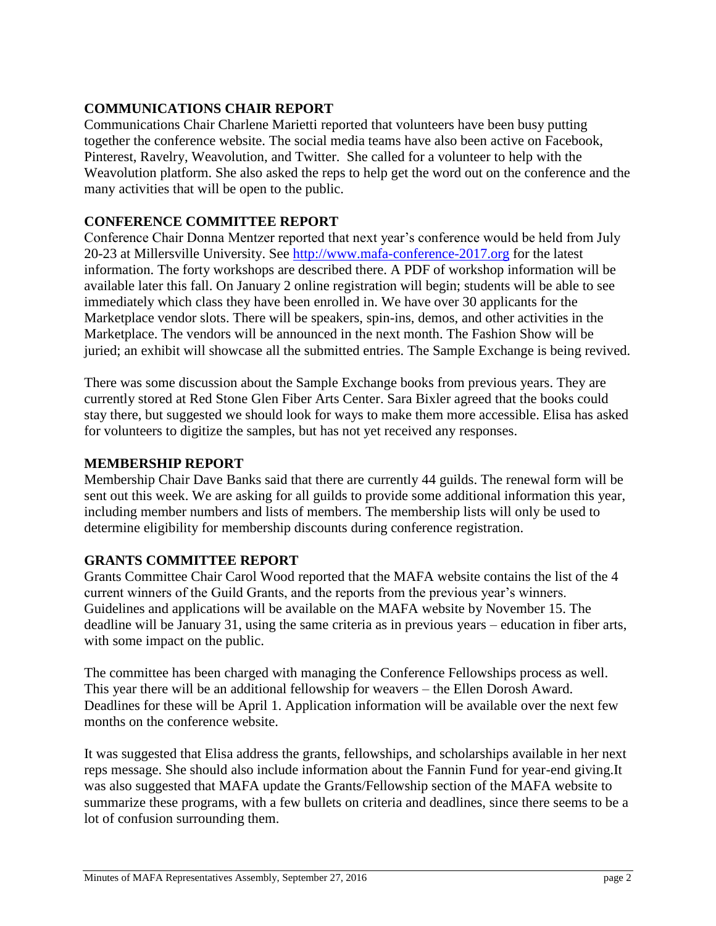# **COMMUNICATIONS CHAIR REPORT**

Communications Chair Charlene Marietti reported that volunteers have been busy putting together the conference website. The social media teams have also been active on Facebook, Pinterest, Ravelry, Weavolution, and Twitter. She called for a volunteer to help with the Weavolution platform. She also asked the reps to help get the word out on the conference and the many activities that will be open to the public.

# **CONFERENCE COMMITTEE REPORT**

Conference Chair Donna Mentzer reported that next year's conference would be held from July 20-23 at Millersville University. See [http://www.mafa-conference-2017.org](http://www.mafa-conference-2017.org/) for the latest information. The forty workshops are described there. A PDF of workshop information will be available later this fall. On January 2 online registration will begin; students will be able to see immediately which class they have been enrolled in. We have over 30 applicants for the Marketplace vendor slots. There will be speakers, spin-ins, demos, and other activities in the Marketplace. The vendors will be announced in the next month. The Fashion Show will be juried; an exhibit will showcase all the submitted entries. The Sample Exchange is being revived.

There was some discussion about the Sample Exchange books from previous years. They are currently stored at Red Stone Glen Fiber Arts Center. Sara Bixler agreed that the books could stay there, but suggested we should look for ways to make them more accessible. Elisa has asked for volunteers to digitize the samples, but has not yet received any responses.

# **MEMBERSHIP REPORT**

Membership Chair Dave Banks said that there are currently 44 guilds. The renewal form will be sent out this week. We are asking for all guilds to provide some additional information this year, including member numbers and lists of members. The membership lists will only be used to determine eligibility for membership discounts during conference registration.

# **GRANTS COMMITTEE REPORT**

Grants Committee Chair Carol Wood reported that the MAFA website contains the list of the 4 current winners of the Guild Grants, and the reports from the previous year's winners. Guidelines and applications will be available on the MAFA website by November 15. The deadline will be January 31, using the same criteria as in previous years – education in fiber arts, with some impact on the public.

The committee has been charged with managing the Conference Fellowships process as well. This year there will be an additional fellowship for weavers – the Ellen Dorosh Award. Deadlines for these will be April 1. Application information will be available over the next few months on the conference website.

It was suggested that Elisa address the grants, fellowships, and scholarships available in her next reps message. She should also include information about the Fannin Fund for year-end giving.It was also suggested that MAFA update the Grants/Fellowship section of the MAFA website to summarize these programs, with a few bullets on criteria and deadlines, since there seems to be a lot of confusion surrounding them.